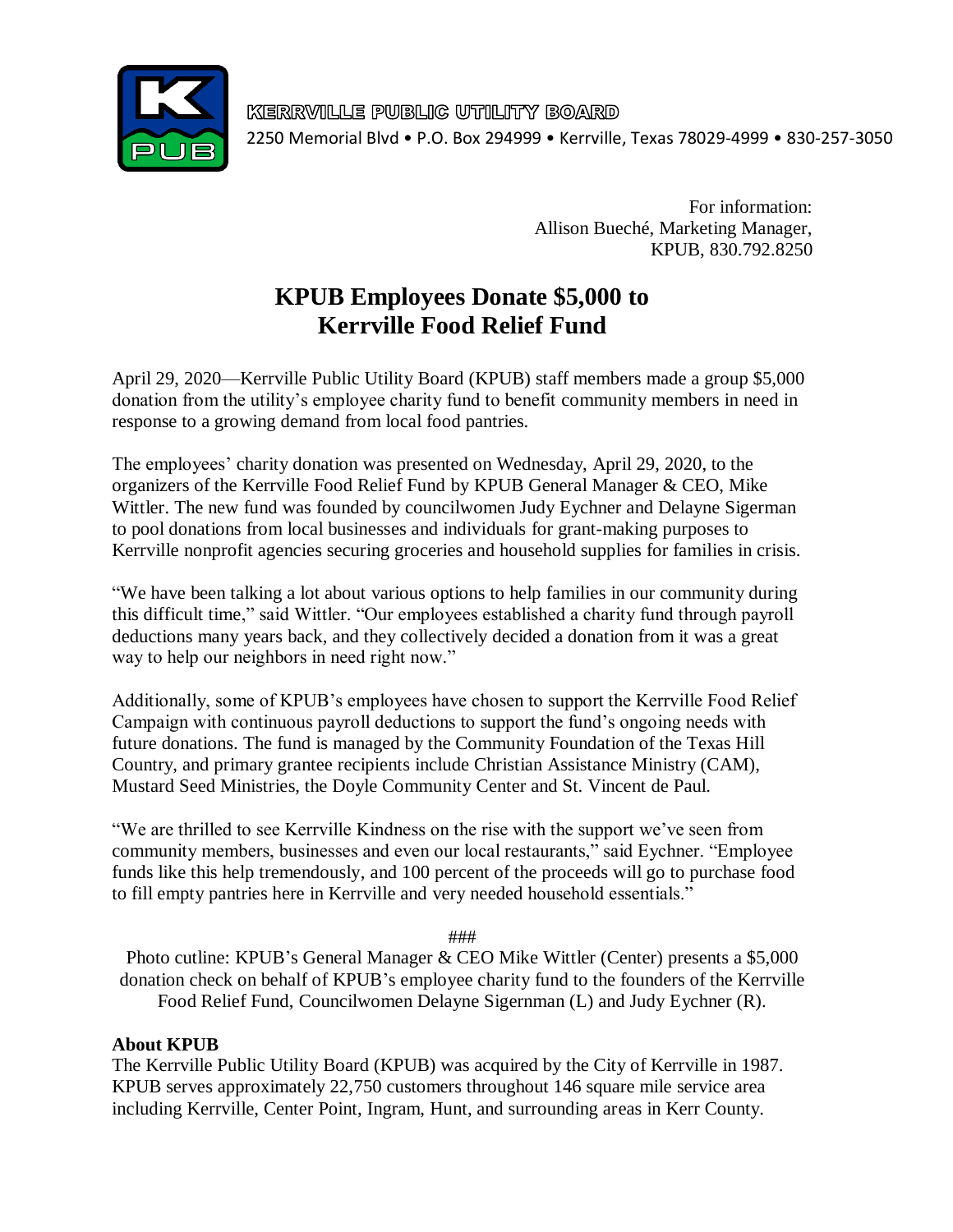

KERRVILLE PUBLIC UTILITY BOARD 2250 Memorial Blvd • P.O. Box 294999 • Kerrville, Texas 78029-4999 • 830-257-3050

> For information: Allison Bueché, Marketing Manager, KPUB, 830.792.8250

## **KPUB Employees Donate \$5,000 to Kerrville Food Relief Fund**

April 29, 2020—Kerrville Public Utility Board (KPUB) staff members made a group \$5,000 donation from the utility's employee charity fund to benefit community members in need in response to a growing demand from local food pantries.

The employees' charity donation was presented on Wednesday, April 29, 2020, to the organizers of the Kerrville Food Relief Fund by KPUB General Manager & CEO, Mike Wittler. The new fund was founded by councilwomen Judy Eychner and Delayne Sigerman to pool donations from local businesses and individuals for grant-making purposes to Kerrville nonprofit agencies securing groceries and household supplies for families in crisis.

"We have been talking a lot about various options to help families in our community during this difficult time," said Wittler. "Our employees established a charity fund through payroll deductions many years back, and they collectively decided a donation from it was a great way to help our neighbors in need right now."

Additionally, some of KPUB's employees have chosen to support the Kerrville Food Relief Campaign with continuous payroll deductions to support the fund's ongoing needs with future donations. The fund is managed by the Community Foundation of the Texas Hill Country, and primary grantee recipients include Christian Assistance Ministry (CAM), Mustard Seed Ministries, the Doyle Community Center and St. Vincent de Paul.

"We are thrilled to see Kerrville Kindness on the rise with the support we've seen from community members, businesses and even our local restaurants," said Eychner. "Employee funds like this help tremendously, and 100 percent of the proceeds will go to purchase food to fill empty pantries here in Kerrville and very needed household essentials."

###

Photo cutline: KPUB's General Manager & CEO Mike Wittler (Center) presents a \$5,000 donation check on behalf of KPUB's employee charity fund to the founders of the Kerrville Food Relief Fund, Councilwomen Delayne Sigernman (L) and Judy Eychner (R).

## **About KPUB**

The Kerrville Public Utility Board (KPUB) was acquired by the City of Kerrville in 1987. KPUB serves approximately 22,750 customers throughout 146 square mile service area including Kerrville, Center Point, Ingram, Hunt, and surrounding areas in Kerr County.